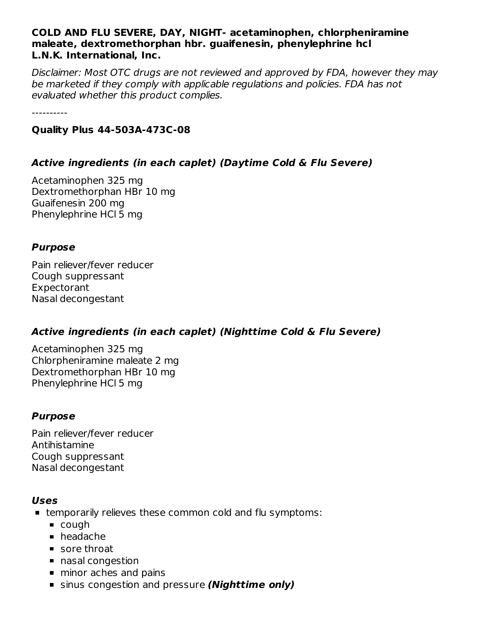#### **COLD AND FLU SEVERE, DAY, NIGHT- acetaminophen, chlorpheniramine maleate, dextromethorphan hbr. guaifenesin, phenylephrine hcl L.N.K. International, Inc.**

Disclaimer: Most OTC drugs are not reviewed and approved by FDA, however they may be marketed if they comply with applicable regulations and policies. FDA has not evaluated whether this product complies.

----------

#### **Quality Plus 44-503A-473C-08**

# **Active ingredients (in each caplet) (Daytime Cold & Flu Severe)**

Acetaminophen 325 mg Dextromethorphan HBr 10 mg Guaifenesin 200 mg Phenylephrine HCl 5 mg

#### **Purpose**

Pain reliever/fever reducer Cough suppressant Expectorant Nasal decongestant

# **Active ingredients (in each caplet) (Nighttime Cold & Flu Severe)**

Acetaminophen 325 mg Chlorpheniramine maleate 2 mg Dextromethorphan HBr 10 mg Phenylephrine HCl 5 mg

# **Purpose**

Pain reliever/fever reducer Antihistamine Cough suppressant Nasal decongestant

#### **Uses**

- temporarily relieves these common cold and flu symptoms:
	- cough
	- headache
	- sore throat
	- nasal congestion
	- **n** minor aches and pains
	- sinus congestion and pressure **(Nighttime only)**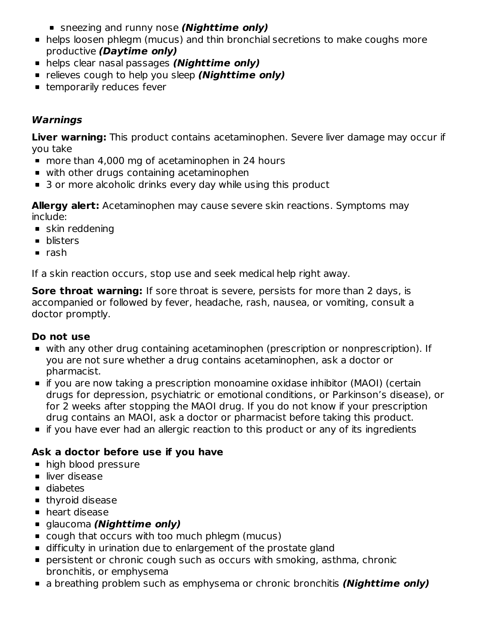- sneezing and runny nose **(Nighttime only)**
- helps loosen phlegm (mucus) and thin bronchial secretions to make coughs more productive **(Daytime only)**
- helps clear nasal passages **(Nighttime only)**
- **Example 1** relieves cough to help you sleep **(Nighttime only)**
- **temporarily reduces fever**

# **Warnings**

**Liver warning:** This product contains acetaminophen. Severe liver damage may occur if you take

- more than 4,000 mg of acetaminophen in 24 hours
- with other drugs containing acetaminophen
- 3 or more alcoholic drinks every day while using this product

**Allergy alert:** Acetaminophen may cause severe skin reactions. Symptoms may include:

- **skin reddening**
- **•** blisters
- $rac{1}{2}$  rash

If a skin reaction occurs, stop use and seek medical help right away.

**Sore throat warning:** If sore throat is severe, persists for more than 2 days, is accompanied or followed by fever, headache, rash, nausea, or vomiting, consult a doctor promptly.

# **Do not use**

- with any other drug containing acetaminophen (prescription or nonprescription). If you are not sure whether a drug contains acetaminophen, ask a doctor or pharmacist.
- if you are now taking a prescription monoamine oxidase inhibitor (MAOI) (certain drugs for depression, psychiatric or emotional conditions, or Parkinson's disease), or for 2 weeks after stopping the MAOI drug. If you do not know if your prescription drug contains an MAOI, ask a doctor or pharmacist before taking this product.
- **If you have ever had an allergic reaction to this product or any of its ingredients**

# **Ask a doctor before use if you have**

- high blood pressure
- liver disease
- diabetes
- **thyroid disease**
- **heart disease**
- glaucoma **(Nighttime only)**
- cough that occurs with too much phlegm (mucus)
- difficulty in urination due to enlargement of the prostate gland
- persistent or chronic cough such as occurs with smoking, asthma, chronic bronchitis, or emphysema
- a breathing problem such as emphysema or chronic bronchitis **(Nighttime only)**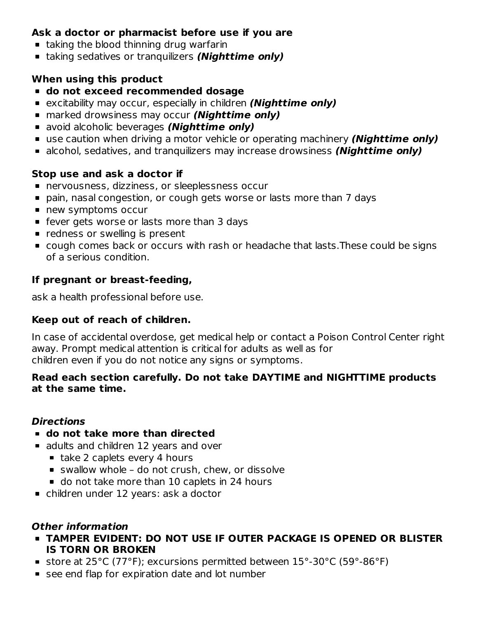# **Ask a doctor or pharmacist before use if you are**

- **taking the blood thinning drug warfarin**
- taking sedatives or tranquilizers **(Nighttime only)**

#### **When using this product**

- **do not exceed recommended dosage**
- excitability may occur, especially in children **(Nighttime only)**
- marked drowsiness may occur **(Nighttime only)**
- avoid alcoholic beverages **(Nighttime only)**
- use caution when driving a motor vehicle or operating machinery **(Nighttime only)**
- alcohol, sedatives, and tranquilizers may increase drowsiness **(Nighttime only)**

#### **Stop use and ask a doctor if**

- nervousness, dizziness, or sleeplessness occur
- pain, nasal congestion, or cough gets worse or lasts more than 7 days
- new symptoms occur
- **F** fever gets worse or lasts more than 3 days
- **•** redness or swelling is present
- cough comes back or occurs with rash or headache that lasts.These could be signs of a serious condition.

#### **If pregnant or breast-feeding,**

ask a health professional before use.

#### **Keep out of reach of children.**

In case of accidental overdose, get medical help or contact a Poison Control Center right away. Prompt medical attention is critical for adults as well as for children even if you do not notice any signs or symptoms.

#### **Read each section carefully. Do not take DAYTIME and NIGHTTIME products at the same time.**

#### **Directions**

- **do not take more than directed**
- adults and children 12 years and over
	- $\blacksquare$  take 2 caplets every 4 hours
	- swallow whole do not crush, chew, or dissolve
	- do not take more than 10 caplets in 24 hours
- children under 12 years: ask a doctor

#### **Other information**

- **TAMPER EVIDENT: DO NOT USE IF OUTER PACKAGE IS OPENED OR BLISTER IS TORN OR BROKEN**
- store at 25°C (77°F); excursions permitted between 15°-30°C (59°-86°F)
- see end flap for expiration date and lot number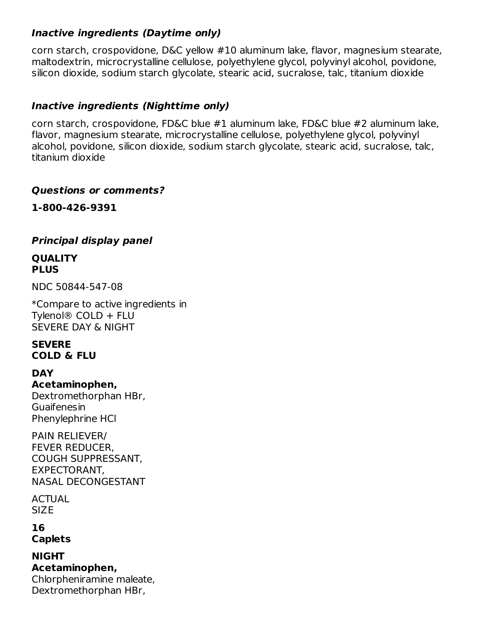#### **Inactive ingredients (Daytime only)**

corn starch, crospovidone, D&C yellow #10 aluminum lake, flavor, magnesium stearate, maltodextrin, microcrystalline cellulose, polyethylene glycol, polyvinyl alcohol, povidone, silicon dioxide, sodium starch glycolate, stearic acid, sucralose, talc, titanium dioxide

# **Inactive ingredients (Nighttime only)**

corn starch, crospovidone, FD&C blue #1 aluminum lake, FD&C blue #2 aluminum lake, flavor, magnesium stearate, microcrystalline cellulose, polyethylene glycol, polyvinyl alcohol, povidone, silicon dioxide, sodium starch glycolate, stearic acid, sucralose, talc, titanium dioxide

#### **Questions or comments?**

**1-800-426-9391**

#### **Principal display panel**

#### **QUALITY PLUS**

NDC 50844-547-08

\*Compare to active ingredients in Tylenol® COLD + FLU SEVERE DAY & NIGHT

#### **SEVERE COLD & FLU**

#### **DAY**

**Acetaminophen,** Dextromethorphan HBr, **Guaifenesin** Phenylephrine HCl

PAIN RELIEVER/ FEVER REDUCER, COUGH SUPPRESSANT, EXPECTORANT, NASAL DECONGESTANT

ACTUAL **SIZE** 

**16 Caplets**

**NIGHT Acetaminophen,** Chlorpheniramine maleate, Dextromethorphan HBr,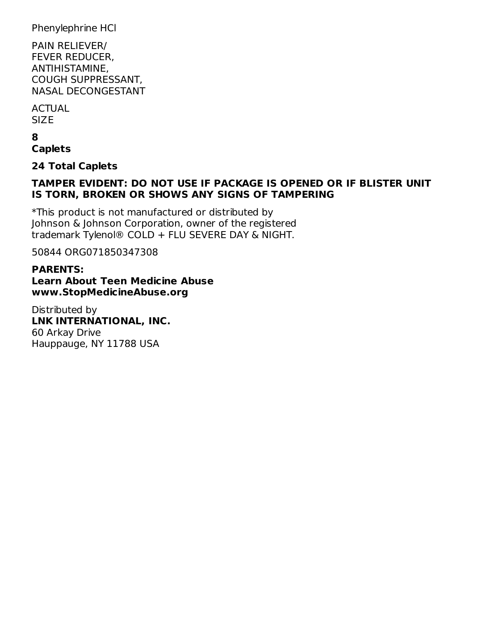Phenylephrine HCl

PAIN RELIEVER/ FEVER REDUCER, ANTIHISTAMINE, COUGH SUPPRESSANT, NASAL DECONGESTANT

**ACTUAL** SIZE

**8 Caplets**

**24 Total Caplets**

#### **TAMPER EVIDENT: DO NOT USE IF PACKAGE IS OPENED OR IF BLISTER UNIT IS TORN, BROKEN OR SHOWS ANY SIGNS OF TAMPERING**

\*This product is not manufactured or distributed by Johnson & Johnson Corporation, owner of the registered trademark Tylenol® COLD + FLU SEVERE DAY & NIGHT.

50844 ORG071850347308

#### **PARENTS: Learn About Teen Medicine Abuse www.StopMedicineAbuse.org**

Distributed by **LNK INTERNATIONAL, INC.** 60 Arkay Drive Hauppauge, NY 11788 USA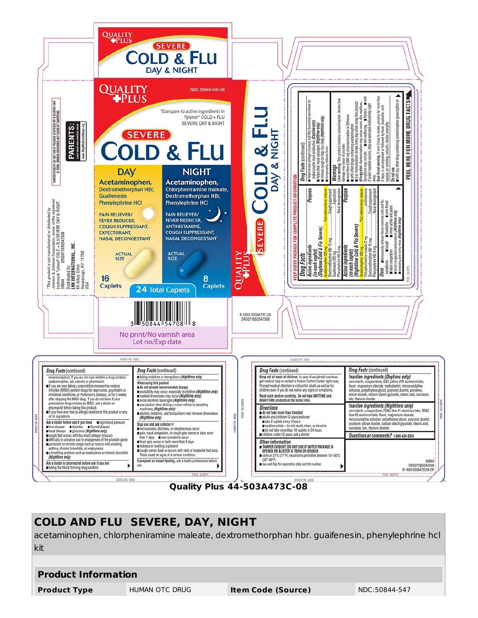

**Quality Plus 44-503A473C-08**

# **COLD AND FLU SEVERE, DAY, NIGHT** acetaminophen, chlorpheniramine maleate, dextromethorphan hbr. guaifenesin, phenylephrine hcl kit

#### **Product Information**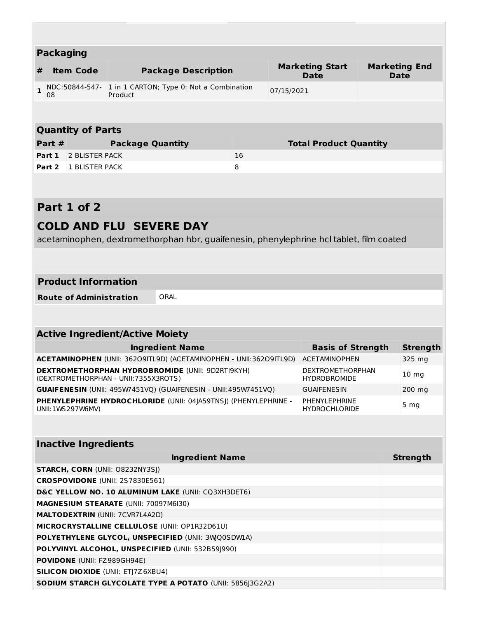| <b>Packaging</b> |                                                   |                                                                                                                               |    |                                                  |                                       |  |                              |  |  |
|------------------|---------------------------------------------------|-------------------------------------------------------------------------------------------------------------------------------|----|--------------------------------------------------|---------------------------------------|--|------------------------------|--|--|
| #                | <b>Item Code</b>                                  | <b>Package Description</b>                                                                                                    |    |                                                  | <b>Marketing Start</b><br><b>Date</b> |  | <b>Marketing End</b><br>Date |  |  |
| $\mathbf{1}$     | 08                                                | NDC:50844-547- 1 in 1 CARTON; Type 0: Not a Combination<br>Product                                                            |    | 07/15/2021                                       |                                       |  |                              |  |  |
|                  |                                                   |                                                                                                                               |    |                                                  |                                       |  |                              |  |  |
|                  |                                                   |                                                                                                                               |    |                                                  |                                       |  |                              |  |  |
|                  | <b>Quantity of Parts</b>                          |                                                                                                                               |    |                                                  |                                       |  |                              |  |  |
|                  | Part #                                            | <b>Package Quantity</b>                                                                                                       |    |                                                  | <b>Total Product Quantity</b>         |  |                              |  |  |
|                  | Part 1<br><b>2 BLISTER PACK</b>                   |                                                                                                                               | 16 |                                                  |                                       |  |                              |  |  |
|                  | Part 2<br>1 BLISTER PACK                          |                                                                                                                               | 8  |                                                  |                                       |  |                              |  |  |
|                  |                                                   |                                                                                                                               |    |                                                  |                                       |  |                              |  |  |
|                  | Part 1 of 2                                       |                                                                                                                               |    |                                                  |                                       |  |                              |  |  |
|                  |                                                   | <b>COLD AND FLU SEVERE DAY</b>                                                                                                |    |                                                  |                                       |  |                              |  |  |
|                  |                                                   | acetaminophen, dextromethorphan hbr, guaifenesin, phenylephrine hcl tablet, film coated                                       |    |                                                  |                                       |  |                              |  |  |
|                  |                                                   |                                                                                                                               |    |                                                  |                                       |  |                              |  |  |
|                  |                                                   |                                                                                                                               |    |                                                  |                                       |  |                              |  |  |
|                  | <b>Product Information</b>                        |                                                                                                                               |    |                                                  |                                       |  |                              |  |  |
|                  |                                                   |                                                                                                                               |    |                                                  |                                       |  |                              |  |  |
|                  | <b>Route of Administration</b>                    | ORAL                                                                                                                          |    |                                                  |                                       |  |                              |  |  |
|                  |                                                   |                                                                                                                               |    |                                                  |                                       |  |                              |  |  |
|                  |                                                   |                                                                                                                               |    |                                                  |                                       |  |                              |  |  |
|                  |                                                   | <b>Active Ingredient/Active Moiety</b>                                                                                        |    |                                                  |                                       |  |                              |  |  |
|                  |                                                   | <b>Ingredient Name</b>                                                                                                        |    | <b>Basis of Strength</b><br><b>ACETAMINOPHEN</b> |                                       |  | <b>Strength</b>              |  |  |
|                  |                                                   | ACETAMINOPHEN (UNII: 36209ITL9D) (ACETAMINOPHEN - UNII:36209ITL9D)<br><b>DEXTROMETHORPHAN HYDROBROMIDE (UNII: 9D2RTI9KYH)</b> |    | DEXTROMETHORPHAN                                 |                                       |  | 325 mg                       |  |  |
|                  |                                                   | (DEXTROMETHORPHAN - UNII:7355X3ROTS)                                                                                          |    | <b>HYDROBROMIDE</b>                              |                                       |  | 10 <sub>mg</sub>             |  |  |
|                  |                                                   | GUAIFENESIN (UNII: 495W7451VQ) (GUAIFENESIN - UNII:495W7451VQ)                                                                |    |                                                  | <b>GUAIFENESIN</b>                    |  | 200 mg                       |  |  |
|                  | UNII: 1WS 297W6MV)                                | PHENYLEPHRINE HYDROCHLORIDE (UNII: 04JA59TNSJ) (PHENYLEPHRINE -                                                               |    | PHENYLEPHRINE<br><b>HYDROCHLORIDE</b>            |                                       |  | 5 <sub>mg</sub>              |  |  |
|                  |                                                   |                                                                                                                               |    |                                                  |                                       |  |                              |  |  |
|                  |                                                   |                                                                                                                               |    |                                                  |                                       |  |                              |  |  |
|                  | <b>Inactive Ingredients</b>                       |                                                                                                                               |    |                                                  |                                       |  |                              |  |  |
|                  |                                                   | <b>Ingredient Name</b>                                                                                                        |    |                                                  |                                       |  | <b>Strength</b>              |  |  |
|                  | <b>STARCH, CORN (UNII: O8232NY3SJ)</b>            |                                                                                                                               |    |                                                  |                                       |  |                              |  |  |
|                  |                                                   | CROSPOVIDONE (UNII: 2S7830E561)                                                                                               |    |                                                  |                                       |  |                              |  |  |
|                  |                                                   | D&C YELLOW NO. 10 ALUMINUM LAKE (UNII: CQ3XH3DET6)                                                                            |    |                                                  |                                       |  |                              |  |  |
|                  |                                                   | MAGNESIUM STEARATE (UNII: 70097M6I30)                                                                                         |    |                                                  |                                       |  |                              |  |  |
|                  | <b>MALTODEXTRIN (UNII: 7CVR7L4A2D)</b>            |                                                                                                                               |    |                                                  |                                       |  |                              |  |  |
|                  |                                                   | MICROCRYSTALLINE CELLULOSE (UNII: OP1R32D61U)                                                                                 |    |                                                  |                                       |  |                              |  |  |
|                  |                                                   | POLYETHYLENE GLYCOL, UNSPECIFIED (UNII: 3WQ0SDWLA)                                                                            |    |                                                  |                                       |  |                              |  |  |
|                  | POLYVINYL ALCOHOL, UNSPECIFIED (UNII: 532B59J990) |                                                                                                                               |    |                                                  |                                       |  |                              |  |  |
|                  | POVIDONE (UNII: FZ989GH94E)                       |                                                                                                                               |    |                                                  |                                       |  |                              |  |  |
|                  |                                                   | <b>SILICON DIOXIDE (UNII: ETJ7Z6XBU4)</b>                                                                                     |    |                                                  |                                       |  |                              |  |  |
|                  |                                                   | SODIUM STARCH GLYCOLATE TYPE A POTATO (UNII: 5856J3G2A2)                                                                      |    |                                                  |                                       |  |                              |  |  |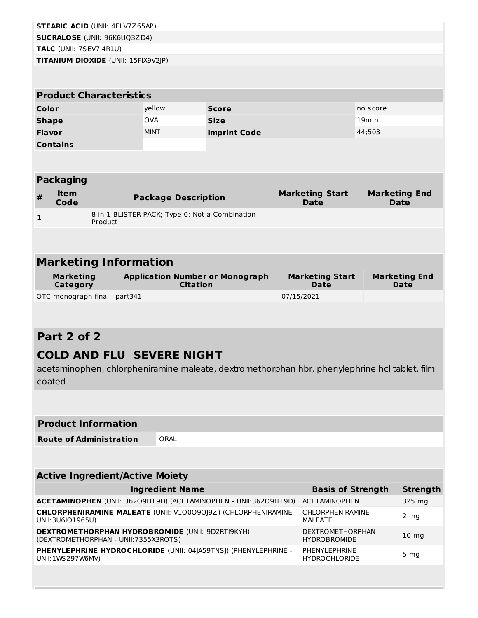| <b>STEARIC ACID (UNII: 4ELV7Z65AP)</b>                                                                          |         |         |                                                           |                                                                                               |  |                                                |          |                              |  |
|-----------------------------------------------------------------------------------------------------------------|---------|---------|-----------------------------------------------------------|-----------------------------------------------------------------------------------------------|--|------------------------------------------------|----------|------------------------------|--|
| <b>SUCRALOSE (UNII: 96K6UQ3ZD4)</b>                                                                             |         |         |                                                           |                                                                                               |  |                                                |          |                              |  |
| TALC (UNII: 7SEV7J4R1U)                                                                                         |         |         |                                                           |                                                                                               |  |                                                |          |                              |  |
| TITANIUM DIOXIDE (UNII: 15FIX9V2JP)                                                                             |         |         |                                                           |                                                                                               |  |                                                |          |                              |  |
|                                                                                                                 |         |         |                                                           |                                                                                               |  |                                                |          |                              |  |
| <b>Product Characteristics</b>                                                                                  |         |         |                                                           |                                                                                               |  |                                                |          |                              |  |
| Color                                                                                                           |         |         | yellow                                                    | <b>Score</b>                                                                                  |  |                                                | no score |                              |  |
| <b>Shape</b>                                                                                                    |         |         | <b>OVAL</b>                                               | <b>Size</b>                                                                                   |  | 19 <sub>mm</sub>                               |          |                              |  |
| Flavor                                                                                                          |         |         | <b>MINT</b>                                               | <b>Imprint Code</b>                                                                           |  |                                                | 44;503   |                              |  |
| <b>Contains</b>                                                                                                 |         |         |                                                           |                                                                                               |  |                                                |          |                              |  |
|                                                                                                                 |         |         |                                                           |                                                                                               |  |                                                |          |                              |  |
| <b>Packaging</b>                                                                                                |         |         |                                                           |                                                                                               |  |                                                |          |                              |  |
| <b>Item</b><br>#                                                                                                |         |         | <b>Package Description</b>                                |                                                                                               |  | <b>Marketing Start</b>                         |          | <b>Marketing End</b>         |  |
| Code                                                                                                            |         |         |                                                           |                                                                                               |  | <b>Date</b>                                    |          | <b>Date</b>                  |  |
| $\mathbf{1}$                                                                                                    | Product |         | 8 in 1 BLISTER PACK; Type 0: Not a Combination            |                                                                                               |  |                                                |          |                              |  |
|                                                                                                                 |         |         |                                                           |                                                                                               |  |                                                |          |                              |  |
|                                                                                                                 |         |         |                                                           |                                                                                               |  |                                                |          |                              |  |
| <b>Marketing Information</b>                                                                                    |         |         |                                                           |                                                                                               |  |                                                |          |                              |  |
| <b>Marketing</b><br><b>Category</b>                                                                             |         |         | <b>Application Number or Monograph</b><br><b>Citation</b> |                                                                                               |  | <b>Marketing Start</b><br><b>Date</b>          |          | <b>Marketing End</b><br>Date |  |
| OTC monograph final                                                                                             |         | part341 |                                                           |                                                                                               |  | 07/15/2021                                     |          |                              |  |
|                                                                                                                 |         |         |                                                           |                                                                                               |  |                                                |          |                              |  |
|                                                                                                                 |         |         |                                                           |                                                                                               |  |                                                |          |                              |  |
| Part 2 of 2                                                                                                     |         |         |                                                           |                                                                                               |  |                                                |          |                              |  |
|                                                                                                                 |         |         | <b>COLD AND FLU SEVERE NIGHT</b>                          |                                                                                               |  |                                                |          |                              |  |
|                                                                                                                 |         |         |                                                           | acetaminophen, chlorpheniramine maleate, dextromethorphan hbr, phenylephrine hcl tablet, film |  |                                                |          |                              |  |
| coated                                                                                                          |         |         |                                                           |                                                                                               |  |                                                |          |                              |  |
|                                                                                                                 |         |         |                                                           |                                                                                               |  |                                                |          |                              |  |
|                                                                                                                 |         |         |                                                           |                                                                                               |  |                                                |          |                              |  |
| <b>Product Information</b>                                                                                      |         |         |                                                           |                                                                                               |  |                                                |          |                              |  |
| ORAL<br><b>Route of Administration</b>                                                                          |         |         |                                                           |                                                                                               |  |                                                |          |                              |  |
|                                                                                                                 |         |         |                                                           |                                                                                               |  |                                                |          |                              |  |
|                                                                                                                 |         |         |                                                           |                                                                                               |  |                                                |          |                              |  |
| <b>Active Ingredient/Active Moiety</b><br><b>Ingredient Name</b><br><b>Basis of Strength</b><br><b>Strength</b> |         |         |                                                           |                                                                                               |  |                                                |          |                              |  |
|                                                                                                                 |         |         |                                                           | ACETAMINOPHEN (UNII: 36209ITL9D) (ACETAMINOPHEN - UNII:36209ITL9D)                            |  | <b>ACETAMINOPHEN</b>                           |          | 325 mg                       |  |
| UNII:3U6IO1965U)                                                                                                |         |         |                                                           | CHLORPHENIRAMINE MALEATE (UNII: V1Q0090J9Z) (CHLORPHENIRAMINE -                               |  | <b>CHLORPHENIRAMINE</b><br><b>MALEATE</b>      |          | 2 <sub>mg</sub>              |  |
| (DEXTROMETHORPHAN - UNII:7355X3ROTS)                                                                            |         |         | <b>DEXTROMETHORPHAN HYDROBROMIDE (UNII: 9D2RTI9KYH)</b>   |                                                                                               |  | <b>DEXTROMETHORPHAN</b><br><b>HYDROBROMIDE</b> |          | 10 <sub>mg</sub>             |  |
| UNII:1WS297W6MV)                                                                                                |         |         |                                                           | PHENYLEPHRINE HYDROCHLORIDE (UNII: 04JA59TNSJ) (PHENYLEPHRINE -                               |  | <b>PHENYLEPHRINE</b><br><b>HYDROCHLORIDE</b>   |          | 5 <sub>mg</sub>              |  |
|                                                                                                                 |         |         |                                                           |                                                                                               |  |                                                |          |                              |  |
|                                                                                                                 |         |         |                                                           |                                                                                               |  |                                                |          |                              |  |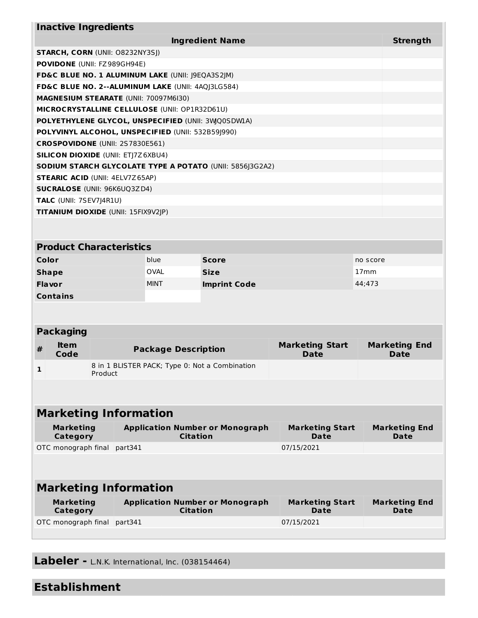| <b>Inactive Ingredients</b>                        |                                           |         |                            |                                                          |                                |                  |                              |  |
|----------------------------------------------------|-------------------------------------------|---------|----------------------------|----------------------------------------------------------|--------------------------------|------------------|------------------------------|--|
| <b>Ingredient Name</b>                             |                                           |         |                            |                                                          |                                |                  |                              |  |
|                                                    | <b>STARCH, CORN (UNII: O8232NY3SJ)</b>    |         |                            |                                                          |                                |                  |                              |  |
| POVIDONE (UNII: FZ989GH94E)                        |                                           |         |                            |                                                          |                                |                  |                              |  |
| FD&C BLUE NO. 1 ALUMINUM LAKE (UNII: J9EQA3S2JM)   |                                           |         |                            |                                                          |                                |                  |                              |  |
| FD&C BLUE NO. 2--ALUMINUM LAKE (UNII: 4AQJ3LG584)  |                                           |         |                            |                                                          |                                |                  |                              |  |
| MAGNESIUM STEARATE (UNII: 70097M6I30)              |                                           |         |                            |                                                          |                                |                  |                              |  |
| MICROCRYSTALLINE CELLULOSE (UNII: OP1R32D61U)      |                                           |         |                            |                                                          |                                |                  |                              |  |
| POLYETHYLENE GLYCOL, UNSPECIFIED (UNII: 3WQ0SDW1A) |                                           |         |                            |                                                          |                                |                  |                              |  |
| POLYVINYL ALCOHOL, UNSPECIFIED (UNII: 532B59J990)  |                                           |         |                            |                                                          |                                |                  |                              |  |
| CROSPOVIDONE (UNII: 2S7830E561)                    |                                           |         |                            |                                                          |                                |                  |                              |  |
|                                                    | <b>SILICON DIOXIDE (UNII: ETJ7Z6XBU4)</b> |         |                            |                                                          |                                |                  |                              |  |
|                                                    |                                           |         |                            | SODIUM STARCH GLYCOLATE TYPE A POTATO (UNII: 5856J3G2A2) |                                |                  |                              |  |
| <b>STEARIC ACID (UNII: 4ELV7Z65AP)</b>             |                                           |         |                            |                                                          |                                |                  |                              |  |
| <b>SUCRALOSE (UNII: 96K6UQ3ZD4)</b>                |                                           |         |                            |                                                          |                                |                  |                              |  |
| TALC (UNII: 7SEV7J4R1U)                            |                                           |         |                            |                                                          |                                |                  |                              |  |
| TITANIUM DIOXIDE (UNII: 15FIX9V2JP)                |                                           |         |                            |                                                          |                                |                  |                              |  |
|                                                    |                                           |         |                            |                                                          |                                |                  |                              |  |
|                                                    |                                           |         |                            |                                                          |                                |                  |                              |  |
| <b>Product Characteristics</b>                     |                                           |         |                            |                                                          |                                |                  |                              |  |
| Color                                              |                                           |         | blue                       | <b>Score</b>                                             |                                | no score         |                              |  |
| <b>Shape</b>                                       |                                           |         | <b>OVAL</b>                | <b>Size</b>                                              |                                | 17 <sub>mm</sub> |                              |  |
| Flavor                                             |                                           |         | <b>MINT</b>                | <b>Imprint Code</b><br>44;473                            |                                |                  |                              |  |
| <b>Contains</b>                                    |                                           |         |                            |                                                          |                                |                  |                              |  |
|                                                    |                                           |         |                            |                                                          |                                |                  |                              |  |
|                                                    |                                           |         |                            |                                                          |                                |                  |                              |  |
| <b>Packaging</b>                                   |                                           |         |                            |                                                          |                                |                  |                              |  |
| <b>Item</b><br>#                                   |                                           |         | <b>Package Description</b> |                                                          | <b>Marketing Start</b>         |                  | <b>Marketing End</b>         |  |
| Code                                               |                                           |         |                            |                                                          | <b>Date</b>                    |                  | Date                         |  |
| 1                                                  | Product                                   |         |                            | 8 in 1 BLISTER PACK; Type 0: Not a Combination           |                                |                  |                              |  |
|                                                    |                                           |         |                            |                                                          |                                |                  |                              |  |
|                                                    |                                           |         |                            |                                                          |                                |                  |                              |  |
|                                                    | <b>Marketing Information</b>              |         |                            |                                                          |                                |                  |                              |  |
|                                                    |                                           |         |                            |                                                          |                                |                  |                              |  |
| <b>Marketing</b><br><b>Category</b>                |                                           |         | <b>Citation</b>            | <b>Application Number or Monograph</b>                   | <b>Marketing Start</b><br>Date |                  | <b>Marketing End</b><br>Date |  |
| OTC monograph final                                |                                           | part341 |                            |                                                          | 07/15/2021                     |                  |                              |  |
|                                                    |                                           |         |                            |                                                          |                                |                  |                              |  |
|                                                    |                                           |         |                            |                                                          |                                |                  |                              |  |
|                                                    |                                           |         |                            |                                                          |                                |                  |                              |  |
| <b>Marketing Information</b>                       |                                           |         |                            |                                                          |                                |                  |                              |  |
| <b>Marketing</b>                                   |                                           |         |                            | <b>Application Number or Monograph</b>                   | <b>Marketing Start</b>         |                  | <b>Marketing End</b>         |  |
| <b>Category</b>                                    |                                           |         | <b>Citation</b>            |                                                          | Date                           |                  | Date                         |  |
| OTC monograph final                                |                                           | part341 |                            |                                                          | 07/15/2021                     |                  |                              |  |
|                                                    |                                           |         |                            |                                                          |                                |                  |                              |  |

**Labeler -** L.N.K. International, Inc. (038154464)

# **Establishment**